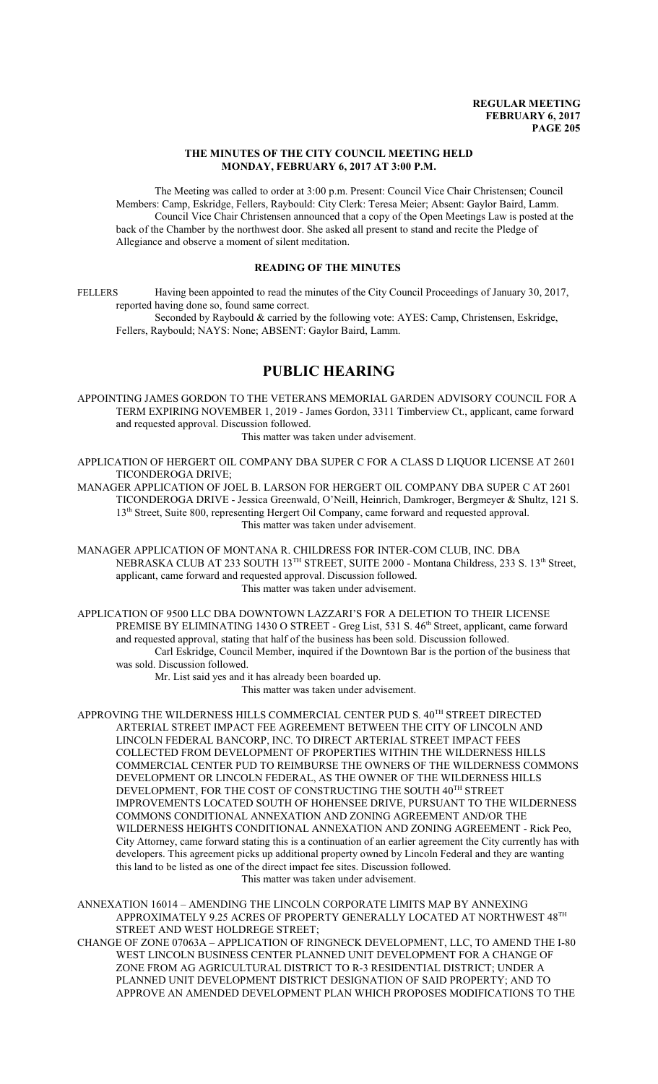#### **THE MINUTES OF THE CITY COUNCIL MEETING HELD MONDAY, FEBRUARY 6, 2017 AT 3:00 P.M.**

The Meeting was called to order at 3:00 p.m. Present: Council Vice Chair Christensen; Council Members: Camp, Eskridge, Fellers, Raybould: City Clerk: Teresa Meier; Absent: Gaylor Baird, Lamm. Council Vice Chair Christensen announced that a copy of the Open Meetings Law is posted at the back of the Chamber by the northwest door. She asked all present to stand and recite the Pledge of Allegiance and observe a moment of silent meditation.

### **READING OF THE MINUTES**

FELLERS Having been appointed to read the minutes of the City Council Proceedings of January 30, 2017, reported having done so, found same correct.

Seconded by Raybould & carried by the following vote: AYES: Camp, Christensen, Eskridge, Fellers, Raybould; NAYS: None; ABSENT: Gaylor Baird, Lamm.

# **PUBLIC HEARING**

APPOINTING JAMES GORDON TO THE VETERANS MEMORIAL GARDEN ADVISORY COUNCIL FOR A TERM EXPIRING NOVEMBER 1, 2019 - James Gordon, 3311 Timberview Ct., applicant, came forward and requested approval. Discussion followed.

This matter was taken under advisement.

APPLICATION OF HERGERT OIL COMPANY DBA SUPER C FOR A CLASS D LIQUOR LICENSE AT 2601 TICONDEROGA DRIVE;

MANAGER APPLICATION OF JOEL B. LARSON FOR HERGERT OIL COMPANY DBA SUPER C AT 2601 TICONDEROGA DRIVE - Jessica Greenwald, O'Neill, Heinrich, Damkroger, Bergmeyer & Shultz, 121 S. 13<sup>th</sup> Street, Suite 800, representing Hergert Oil Company, came forward and requested approval. This matter was taken under advisement.

MANAGER APPLICATION OF MONTANA R. CHILDRESS FOR INTER-COM CLUB, INC. DBA NEBRASKA CLUB AT 233 SOUTH 13<sup>TH</sup> STREET, SUITE 2000 - Montana Childress, 233 S. 13<sup>th</sup> Street, applicant, came forward and requested approval. Discussion followed. This matter was taken under advisement.

APPLICATION OF 9500 LLC DBA DOWNTOWN LAZZARI'S FOR A DELETION TO THEIR LICENSE PREMISE BY ELIMINATING 1430 O STREET - Greg List, 531 S. 46<sup>th</sup> Street, applicant, came forward and requested approval, stating that half of the business has been sold. Discussion followed. Carl Eskridge, Council Member, inquired if the Downtown Bar is the portion of the business that was sold. Discussion followed.

Mr. List said yes and it has already been boarded up. This matter was taken under advisement.

APPROVING THE WILDERNESS HILLS COMMERCIAL CENTER PUD S.  $40^{\text{TH}}$  STREET DIRECTED ARTERIAL STREET IMPACT FEE AGREEMENT BETWEEN THE CITY OF LINCOLN AND LINCOLN FEDERAL BANCORP, INC. TO DIRECT ARTERIAL STREET IMPACT FEES COLLECTED FROM DEVELOPMENT OF PROPERTIES WITHIN THE WILDERNESS HILLS COMMERCIAL CENTER PUD TO REIMBURSE THE OWNERS OF THE WILDERNESS COMMONS DEVELOPMENT OR LINCOLN FEDERAL, AS THE OWNER OF THE WILDERNESS HILLS DEVELOPMENT, FOR THE COST OF CONSTRUCTING THE SOUTH 40<sup>TH</sup> STREET IMPROVEMENTS LOCATED SOUTH OF HOHENSEE DRIVE, PURSUANT TO THE WILDERNESS COMMONS CONDITIONAL ANNEXATION AND ZONING AGREEMENT AND/OR THE WILDERNESS HEIGHTS CONDITIONAL ANNEXATION AND ZONING AGREEMENT - Rick Peo, City Attorney, came forward stating this is a continuation of an earlier agreement the City currently has with developers. This agreement picks up additional property owned by Lincoln Federal and they are wanting this land to be listed as one of the direct impact fee sites. Discussion followed. This matter was taken under advisement.

ANNEXATION 16014 – AMENDING THE LINCOLN CORPORATE LIMITS MAP BY ANNEXING APPROXIMATELY 9.25 ACRES OF PROPERTY GENERALLY LOCATED AT NORTHWEST  $48^{\text{\tiny{TH}}}$ STREET AND WEST HOLDREGE STREET;

CHANGE OF ZONE 07063A – APPLICATION OF RINGNECK DEVELOPMENT, LLC, TO AMEND THE I-80 WEST LINCOLN BUSINESS CENTER PLANNED UNIT DEVELOPMENT FOR A CHANGE OF ZONE FROM AG AGRICULTURAL DISTRICT TO R-3 RESIDENTIAL DISTRICT; UNDER A PLANNED UNIT DEVELOPMENT DISTRICT DESIGNATION OF SAID PROPERTY; AND TO APPROVE AN AMENDED DEVELOPMENT PLAN WHICH PROPOSES MODIFICATIONS TO THE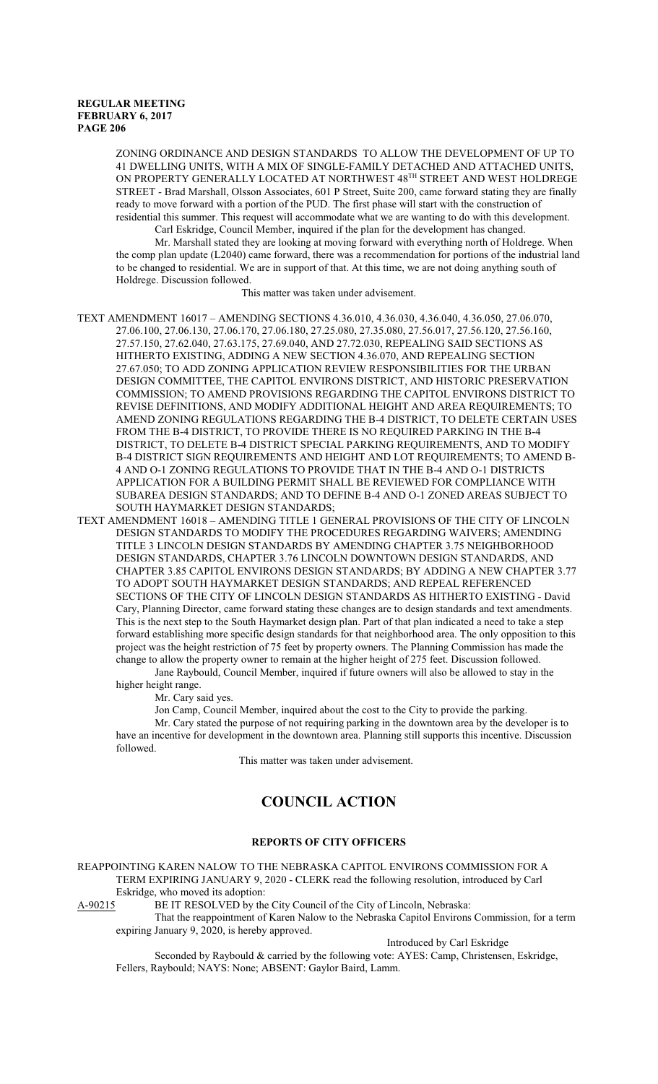ZONING ORDINANCE AND DESIGN STANDARDS TO ALLOW THE DEVELOPMENT OF UP TO 41 DWELLING UNITS, WITH A MIX OF SINGLE-FAMILY DETACHED AND ATTACHED UNITS, ON PROPERTY GENERALLY LOCATED AT NORTHWEST 48<sup>th</sup> STREET AND WEST HOLDREGE STREET - Brad Marshall, Olsson Associates, 601 P Street, Suite 200, came forward stating they are finally ready to move forward with a portion of the PUD. The first phase will start with the construction of residential this summer. This request will accommodate what we are wanting to do with this development.

Carl Eskridge, Council Member, inquired if the plan for the development has changed.

Mr. Marshall stated they are looking at moving forward with everything north of Holdrege. When the comp plan update (L2040) came forward, there was a recommendation for portions of the industrial land to be changed to residential. We are in support of that. At this time, we are not doing anything south of Holdrege. Discussion followed.

This matter was taken under advisement.

- TEXT AMENDMENT 16017 AMENDING SECTIONS 4.36.010, 4.36.030, 4.36.040, 4.36.050, 27.06.070, 27.06.100, 27.06.130, 27.06.170, 27.06.180, 27.25.080, 27.35.080, 27.56.017, 27.56.120, 27.56.160, 27.57.150, 27.62.040, 27.63.175, 27.69.040, AND 27.72.030, REPEALING SAID SECTIONS AS HITHERTO EXISTING, ADDING A NEW SECTION 4.36.070, AND REPEALING SECTION 27.67.050; TO ADD ZONING APPLICATION REVIEW RESPONSIBILITIES FOR THE URBAN DESIGN COMMITTEE, THE CAPITOL ENVIRONS DISTRICT, AND HISTORIC PRESERVATION COMMISSION; TO AMEND PROVISIONS REGARDING THE CAPITOL ENVIRONS DISTRICT TO REVISE DEFINITIONS, AND MODIFY ADDITIONAL HEIGHT AND AREA REQUIREMENTS; TO AMEND ZONING REGULATIONS REGARDING THE B-4 DISTRICT, TO DELETE CERTAIN USES FROM THE B-4 DISTRICT, TO PROVIDE THERE IS NO REQUIRED PARKING IN THE B-4 DISTRICT, TO DELETE B-4 DISTRICT SPECIAL PARKING REQUIREMENTS, AND TO MODIFY B-4 DISTRICT SIGN REQUIREMENTS AND HEIGHT AND LOT REQUIREMENTS; TO AMEND B-4 AND O-1 ZONING REGULATIONS TO PROVIDE THAT IN THE B-4 AND O-1 DISTRICTS APPLICATION FOR A BUILDING PERMIT SHALL BE REVIEWED FOR COMPLIANCE WITH SUBAREA DESIGN STANDARDS; AND TO DEFINE B-4 AND O-1 ZONED AREAS SUBJECT TO SOUTH HAYMARKET DESIGN STANDARDS;
- TEXT AMENDMENT 16018 AMENDING TITLE 1 GENERAL PROVISIONS OF THE CITY OF LINCOLN DESIGN STANDARDS TO MODIFY THE PROCEDURES REGARDING WAIVERS; AMENDING TITLE 3 LINCOLN DESIGN STANDARDS BY AMENDING CHAPTER 3.75 NEIGHBORHOOD DESIGN STANDARDS, CHAPTER 3.76 LINCOLN DOWNTOWN DESIGN STANDARDS, AND CHAPTER 3.85 CAPITOL ENVIRONS DESIGN STANDARDS; BY ADDING A NEW CHAPTER 3.77 TO ADOPT SOUTH HAYMARKET DESIGN STANDARDS; AND REPEAL REFERENCED SECTIONS OF THE CITY OF LINCOLN DESIGN STANDARDS AS HITHERTO EXISTING - David Cary, Planning Director, came forward stating these changes are to design standards and text amendments. This is the next step to the South Haymarket design plan. Part of that plan indicated a need to take a step forward establishing more specific design standards for that neighborhood area. The only opposition to this project was the height restriction of 75 feet by property owners. The Planning Commission has made the change to allow the property owner to remain at the higher height of 275 feet. Discussion followed.

Jane Raybould, Council Member, inquired if future owners will also be allowed to stay in the higher height range.

Mr. Cary said yes.

Jon Camp, Council Member, inquired about the cost to the City to provide the parking.

Mr. Cary stated the purpose of not requiring parking in the downtown area by the developer is to have an incentive for development in the downtown area. Planning still supports this incentive. Discussion followed.

This matter was taken under advisement.

# **COUNCIL ACTION**

#### **REPORTS OF CITY OFFICERS**

REAPPOINTING KAREN NALOW TO THE NEBRASKA CAPITOL ENVIRONS COMMISSION FOR A TERM EXPIRING JANUARY 9, 2020 - CLERK read the following resolution, introduced by Carl Eskridge, who moved its adoption:<br>A-90215 BE IT RESOLVED by the

BE IT RESOLVED by the City Council of the City of Lincoln, Nebraska:

That the reappointment of Karen Nalow to the Nebraska Capitol Environs Commission, for a term expiring January 9, 2020, is hereby approved.

Introduced by Carl Eskridge

Seconded by Raybould & carried by the following vote: AYES: Camp, Christensen, Eskridge, Fellers, Raybould; NAYS: None; ABSENT: Gaylor Baird, Lamm.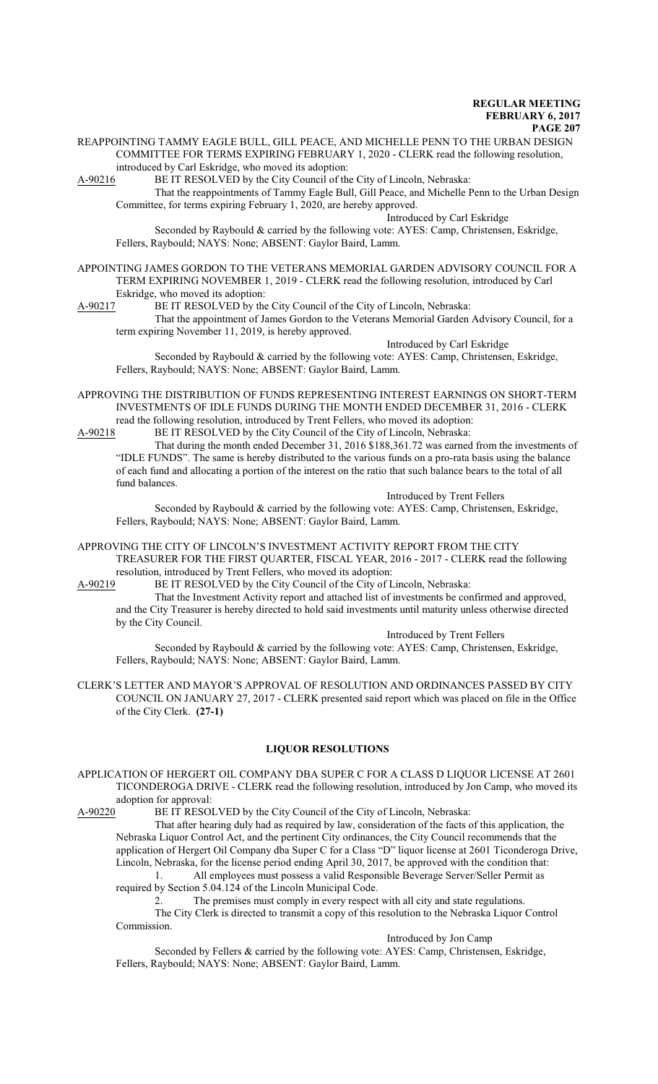REAPPOINTING TAMMY EAGLE BULL, GILL PEACE, AND MICHELLE PENN TO THE URBAN DESIGN COMMITTEE FOR TERMS EXPIRING FEBRUARY 1, 2020 - CLERK read the following resolution, introduced by Carl Eskridge, who moved its adoption:

A-90216 BE IT RESOLVED by the City Council of the City of Lincoln, Nebraska: That the reappointments of Tammy Eagle Bull, Gill Peace, and Michelle Penn to the Urban Design Committee, for terms expiring February 1, 2020, are hereby approved.

Introduced by Carl Eskridge

Seconded by Raybould & carried by the following vote: AYES: Camp, Christensen, Eskridge, Fellers, Raybould; NAYS: None; ABSENT: Gaylor Baird, Lamm.

APPOINTING JAMES GORDON TO THE VETERANS MEMORIAL GARDEN ADVISORY COUNCIL FOR A TERM EXPIRING NOVEMBER 1, 2019 - CLERK read the following resolution, introduced by Carl Eskridge, who moved its adoption:

A-90217 BE IT RESOLVED by the City Council of the City of Lincoln, Nebraska:

That the appointment of James Gordon to the Veterans Memorial Garden Advisory Council, for a term expiring November 11, 2019, is hereby approved.

Introduced by Carl Eskridge Seconded by Raybould & carried by the following vote: AYES: Camp, Christensen, Eskridge, Fellers, Raybould; NAYS: None; ABSENT: Gaylor Baird, Lamm.

APPROVING THE DISTRIBUTION OF FUNDS REPRESENTING INTEREST EARNINGS ON SHORT-TERM INVESTMENTS OF IDLE FUNDS DURING THE MONTH ENDED DECEMBER 31, 2016 - CLERK read the following resolution, introduced by Trent Fellers, who moved its adoption:

A-90218 BE IT RESOLVED by the City Council of the City of Lincoln, Nebraska: That during the month ended December 31, 2016 \$188,361.72 was earned from the investments of "IDLE FUNDS". The same is hereby distributed to the various funds on a pro-rata basis using the balance of each fund and allocating a portion of the interest on the ratio that such balance bears to the total of all fund balances.

Introduced by Trent Fellers Seconded by Raybould & carried by the following vote: AYES: Camp, Christensen, Eskridge, Fellers, Raybould; NAYS: None; ABSENT: Gaylor Baird, Lamm.

APPROVING THE CITY OF LINCOLN'S INVESTMENT ACTIVITY REPORT FROM THE CITY TREASURER FOR THE FIRST QUARTER, FISCAL YEAR, 2016 - 2017 - CLERK read the following resolution, introduced by Trent Fellers, who moved its adoption:

A-90219 BE IT RESOLVED by the City Council of the City of Lincoln, Nebraska:

That the Investment Activity report and attached list of investments be confirmed and approved, and the City Treasurer is hereby directed to hold said investments until maturity unless otherwise directed by the City Council.

Introduced by Trent Fellers Seconded by Raybould & carried by the following vote: AYES: Camp, Christensen, Eskridge, Fellers, Raybould; NAYS: None; ABSENT: Gaylor Baird, Lamm.

CLERK'S LETTER AND MAYOR'S APPROVAL OF RESOLUTION AND ORDINANCES PASSED BY CITY COUNCIL ON JANUARY 27, 2017 - CLERK presented said report which was placed on file in the Office of the City Clerk. **(27-1)**

#### **LIQUOR RESOLUTIONS**

APPLICATION OF HERGERT OIL COMPANY DBA SUPER C FOR A CLASS D LIQUOR LICENSE AT 2601 TICONDEROGA DRIVE - CLERK read the following resolution, introduced by Jon Camp, who moved its adoption for approval:

A-90220 BE IT RESOLVED by the City Council of the City of Lincoln, Nebraska:

That after hearing duly had as required by law, consideration of the facts of this application, the Nebraska Liquor Control Act, and the pertinent City ordinances, the City Council recommends that the application of Hergert Oil Company dba Super C for a Class "D" liquor license at 2601 Ticonderoga Drive, Lincoln, Nebraska, for the license period ending April 30, 2017, be approved with the condition that:

1. All employees must possess a valid Responsible Beverage Server/Seller Permit as required by Section 5.04.124 of the Lincoln Municipal Code.

2. The premises must comply in every respect with all city and state regulations.

The City Clerk is directed to transmit a copy of this resolution to the Nebraska Liquor Control Commission.

Introduced by Jon Camp

Seconded by Fellers & carried by the following vote: AYES: Camp, Christensen, Eskridge, Fellers, Raybould; NAYS: None; ABSENT: Gaylor Baird, Lamm.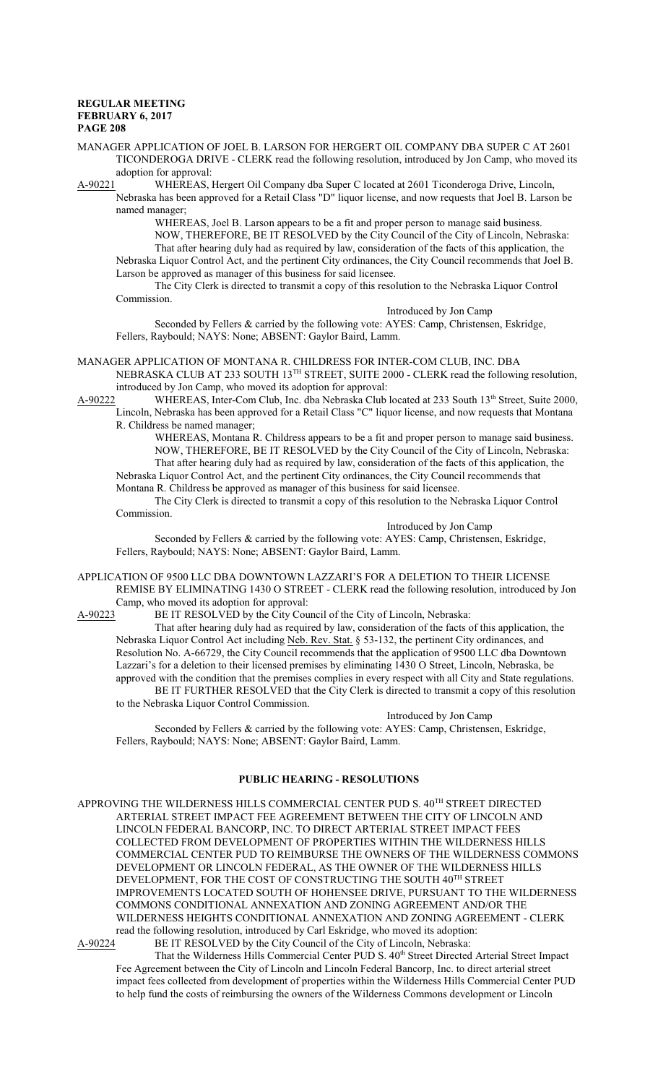MANAGER APPLICATION OF JOEL B. LARSON FOR HERGERT OIL COMPANY DBA SUPER C AT 2601 TICONDEROGA DRIVE - CLERK read the following resolution, introduced by Jon Camp, who moved its adoption for approval:

A-90221 WHEREAS, Hergert Oil Company dba Super C located at 2601 Ticonderoga Drive, Lincoln, Nebraska has been approved for a Retail Class "D" liquor license, and now requests that Joel B. Larson be named manager;

WHEREAS, Joel B. Larson appears to be a fit and proper person to manage said business. NOW, THEREFORE, BE IT RESOLVED by the City Council of the City of Lincoln, Nebraska: That after hearing duly had as required by law, consideration of the facts of this application, the Nebraska Liquor Control Act, and the pertinent City ordinances, the City Council recommends that Joel B. Larson be approved as manager of this business for said licensee.

The City Clerk is directed to transmit a copy of this resolution to the Nebraska Liquor Control Commission.

Introduced by Jon Camp

Seconded by Fellers & carried by the following vote: AYES: Camp, Christensen, Eskridge, Fellers, Raybould; NAYS: None; ABSENT: Gaylor Baird, Lamm.

MANAGER APPLICATION OF MONTANA R. CHILDRESS FOR INTER-COM CLUB, INC. DBA

NEBRASKA CLUB AT 233 SOUTH 13<sup>TH</sup> STREET, SUITE 2000 - CLERK read the following resolution, introduced by Jon Camp, who moved its adoption for approval:

A-90222 WHEREAS, Inter-Com Club, Inc. dba Nebraska Club located at 233 South 13<sup>th</sup> Street, Suite 2000, Lincoln, Nebraska has been approved for a Retail Class "C" liquor license, and now requests that Montana R. Childress be named manager;

WHEREAS, Montana R. Childress appears to be a fit and proper person to manage said business. NOW, THEREFORE, BE IT RESOLVED by the City Council of the City of Lincoln, Nebraska: That after hearing duly had as required by law, consideration of the facts of this application, the Nebraska Liquor Control Act, and the pertinent City ordinances, the City Council recommends that Montana R. Childress be approved as manager of this business for said licensee.

The City Clerk is directed to transmit a copy of this resolution to the Nebraska Liquor Control Commission.

Introduced by Jon Camp

Seconded by Fellers & carried by the following vote: AYES: Camp, Christensen, Eskridge, Fellers, Raybould; NAYS: None; ABSENT: Gaylor Baird, Lamm.

APPLICATION OF 9500 LLC DBA DOWNTOWN LAZZARI'S FOR A DELETION TO THEIR LICENSE REMISE BY ELIMINATING 1430 O STREET - CLERK read the following resolution, introduced by Jon Camp, who moved its adoption for approval:

A-90223 BE IT RESOLVED by the City Council of the City of Lincoln, Nebraska:

That after hearing duly had as required by law, consideration of the facts of this application, the Nebraska Liquor Control Act including Neb. Rev. Stat. § 53-132, the pertinent City ordinances, and Resolution No. A-66729, the City Council recommends that the application of 9500 LLC dba Downtown Lazzari's for a deletion to their licensed premises by eliminating 1430 O Street, Lincoln, Nebraska, be approved with the condition that the premises complies in every respect with all City and State regulations. BE IT FURTHER RESOLVED that the City Clerk is directed to transmit a copy of this resolution

to the Nebraska Liquor Control Commission. Introduced by Jon Camp

Seconded by Fellers & carried by the following vote: AYES: Camp, Christensen, Eskridge, Fellers, Raybould; NAYS: None; ABSENT: Gaylor Baird, Lamm.

#### **PUBLIC HEARING - RESOLUTIONS**

APPROVING THE WILDERNESS HILLS COMMERCIAL CENTER PUD S.  $40^{\text{TH}}$  STREET DIRECTED ARTERIAL STREET IMPACT FEE AGREEMENT BETWEEN THE CITY OF LINCOLN AND LINCOLN FEDERAL BANCORP, INC. TO DIRECT ARTERIAL STREET IMPACT FEES COLLECTED FROM DEVELOPMENT OF PROPERTIES WITHIN THE WILDERNESS HILLS COMMERCIAL CENTER PUD TO REIMBURSE THE OWNERS OF THE WILDERNESS COMMONS DEVELOPMENT OR LINCOLN FEDERAL, AS THE OWNER OF THE WILDERNESS HILLS DEVELOPMENT, FOR THE COST OF CONSTRUCTING THE SOUTH 40<sup>TH</sup> STREET IMPROVEMENTS LOCATED SOUTH OF HOHENSEE DRIVE, PURSUANT TO THE WILDERNESS COMMONS CONDITIONAL ANNEXATION AND ZONING AGREEMENT AND/OR THE WILDERNESS HEIGHTS CONDITIONAL ANNEXATION AND ZONING AGREEMENT - CLERK read the following resolution, introduced by Carl Eskridge, who moved its adoption:<br>A-90224 BE IT RESOLVED by the City Council of the City of Lincoln. Nebraska: BE IT RESOLVED by the City Council of the City of Lincoln, Nebraska:

That the Wilderness Hills Commercial Center PUD S. 40<sup>th</sup> Street Directed Arterial Street Impact Fee Agreement between the City of Lincoln and Lincoln Federal Bancorp, Inc. to direct arterial street impact fees collected from development of properties within the Wilderness Hills Commercial Center PUD to help fund the costs of reimbursing the owners of the Wilderness Commons development or Lincoln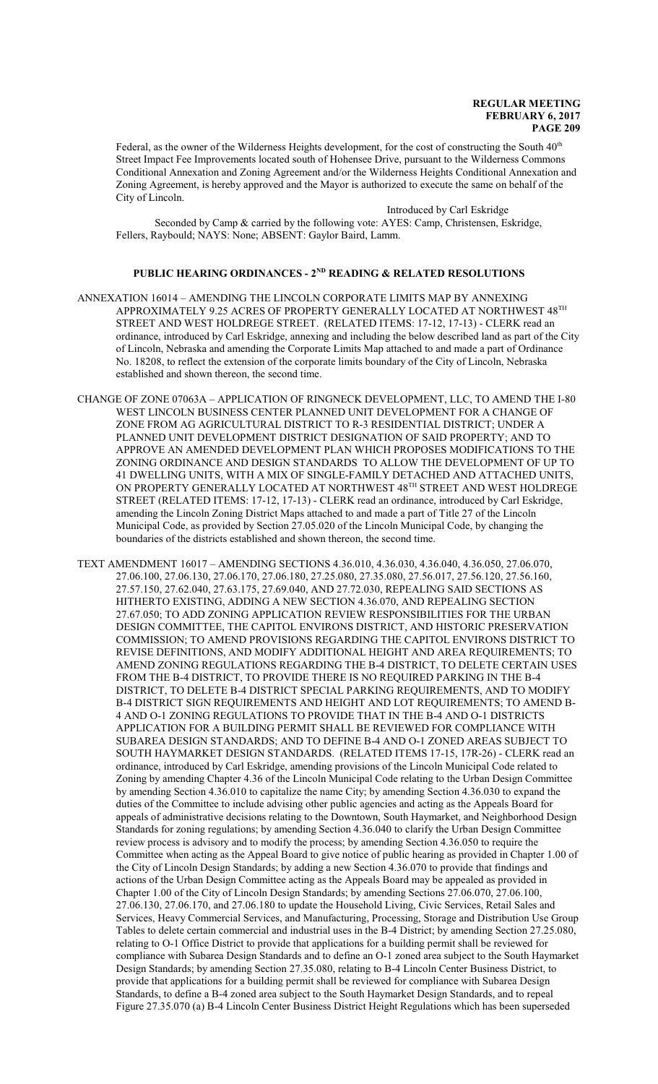Federal, as the owner of the Wilderness Heights development, for the cost of constructing the South  $40<sup>th</sup>$ Street Impact Fee Improvements located south of Hohensee Drive, pursuant to the Wilderness Commons Conditional Annexation and Zoning Agreement and/or the Wilderness Heights Conditional Annexation and Zoning Agreement, is hereby approved and the Mayor is authorized to execute the same on behalf of the City of Lincoln.

Introduced by Carl Eskridge Seconded by Camp & carried by the following vote: AYES: Camp, Christensen, Eskridge, Fellers, Raybould; NAYS: None; ABSENT: Gaylor Baird, Lamm.

### **PUBLIC HEARING ORDINANCES - 2ND READING & RELATED RESOLUTIONS**

- ANNEXATION 16014 AMENDING THE LINCOLN CORPORATE LIMITS MAP BY ANNEXING APPROXIMATELY 9.25 ACRES OF PROPERTY GENERALLY LOCATED AT NORTHWEST  $48^{\text{\tiny{TH}}}$ STREET AND WEST HOLDREGE STREET. (RELATED ITEMS: 17-12, 17-13) - CLERK read an ordinance, introduced by Carl Eskridge, annexing and including the below described land as part of the City of Lincoln, Nebraska and amending the Corporate Limits Map attached to and made a part of Ordinance No. 18208, to reflect the extension of the corporate limits boundary of the City of Lincoln, Nebraska established and shown thereon, the second time.
- CHANGE OF ZONE 07063A APPLICATION OF RINGNECK DEVELOPMENT, LLC, TO AMEND THE I-80 WEST LINCOLN BUSINESS CENTER PLANNED UNIT DEVELOPMENT FOR A CHANGE OF ZONE FROM AG AGRICULTURAL DISTRICT TO R-3 RESIDENTIAL DISTRICT; UNDER A PLANNED UNIT DEVELOPMENT DISTRICT DESIGNATION OF SAID PROPERTY; AND TO APPROVE AN AMENDED DEVELOPMENT PLAN WHICH PROPOSES MODIFICATIONS TO THE ZONING ORDINANCE AND DESIGN STANDARDS TO ALLOW THE DEVELOPMENT OF UP TO 41 DWELLING UNITS, WITH A MIX OF SINGLE-FAMILY DETACHED AND ATTACHED UNITS, ON PROPERTY GENERALLY LOCATED AT NORTHWEST 48TH STREET AND WEST HOLDREGE STREET (RELATED ITEMS: 17-12, 17-13) - CLERK read an ordinance, introduced by Carl Eskridge, amending the Lincoln Zoning District Maps attached to and made a part of Title 27 of the Lincoln Municipal Code, as provided by Section 27.05.020 of the Lincoln Municipal Code, by changing the boundaries of the districts established and shown thereon, the second time.
- TEXT AMENDMENT 16017 AMENDING SECTIONS 4.36.010, 4.36.030, 4.36.040, 4.36.050, 27.06.070, 27.06.100, 27.06.130, 27.06.170, 27.06.180, 27.25.080, 27.35.080, 27.56.017, 27.56.120, 27.56.160, 27.57.150, 27.62.040, 27.63.175, 27.69.040, AND 27.72.030, REPEALING SAID SECTIONS AS HITHERTO EXISTING, ADDING A NEW SECTION 4.36.070, AND REPEALING SECTION 27.67.050; TO ADD ZONING APPLICATION REVIEW RESPONSIBILITIES FOR THE URBAN DESIGN COMMITTEE, THE CAPITOL ENVIRONS DISTRICT, AND HISTORIC PRESERVATION COMMISSION; TO AMEND PROVISIONS REGARDING THE CAPITOL ENVIRONS DISTRICT TO REVISE DEFINITIONS, AND MODIFY ADDITIONAL HEIGHT AND AREA REQUIREMENTS; TO AMEND ZONING REGULATIONS REGARDING THE B-4 DISTRICT, TO DELETE CERTAIN USES FROM THE B-4 DISTRICT, TO PROVIDE THERE IS NO REQUIRED PARKING IN THE B-4 DISTRICT, TO DELETE B-4 DISTRICT SPECIAL PARKING REQUIREMENTS, AND TO MODIFY B-4 DISTRICT SIGN REQUIREMENTS AND HEIGHT AND LOT REQUIREMENTS; TO AMEND B-4 AND O-1 ZONING REGULATIONS TO PROVIDE THAT IN THE B-4 AND O-1 DISTRICTS APPLICATION FOR A BUILDING PERMIT SHALL BE REVIEWED FOR COMPLIANCE WITH SUBAREA DESIGN STANDARDS; AND TO DEFINE B-4 AND O-1 ZONED AREAS SUBJECT TO SOUTH HAYMARKET DESIGN STANDARDS. (RELATED ITEMS 17-15, 17R-26) - CLERK read an ordinance, introduced by Carl Eskridge, amending provisions of the Lincoln Municipal Code related to Zoning by amending Chapter 4.36 of the Lincoln Municipal Code relating to the Urban Design Committee by amending Section 4.36.010 to capitalize the name City; by amending Section 4.36.030 to expand the duties of the Committee to include advising other public agencies and acting as the Appeals Board for appeals of administrative decisions relating to the Downtown, South Haymarket, and Neighborhood Design Standards for zoning regulations; by amending Section 4.36.040 to clarify the Urban Design Committee review process is advisory and to modify the process; by amending Section 4.36.050 to require the Committee when acting as the Appeal Board to give notice of public hearing as provided in Chapter 1.00 of the City of Lincoln Design Standards; by adding a new Section 4.36.070 to provide that findings and actions of the Urban Design Committee acting as the Appeals Board may be appealed as provided in Chapter 1.00 of the City of Lincoln Design Standards; by amending Sections 27.06.070, 27.06.100, 27.06.130, 27.06.170, and 27.06.180 to update the Household Living, Civic Services, Retail Sales and Services, Heavy Commercial Services, and Manufacturing, Processing, Storage and Distribution Use Group Tables to delete certain commercial and industrial uses in the B-4 District; by amending Section 27.25.080, relating to O-1 Office District to provide that applications for a building permit shall be reviewed for compliance with Subarea Design Standards and to define an O-1 zoned area subject to the South Haymarket Design Standards; by amending Section 27.35.080, relating to B-4 Lincoln Center Business District, to provide that applications for a building permit shall be reviewed for compliance with Subarea Design Standards, to define a B-4 zoned area subject to the South Haymarket Design Standards, and to repeal Figure 27.35.070 (a) B-4 Lincoln Center Business District Height Regulations which has been superseded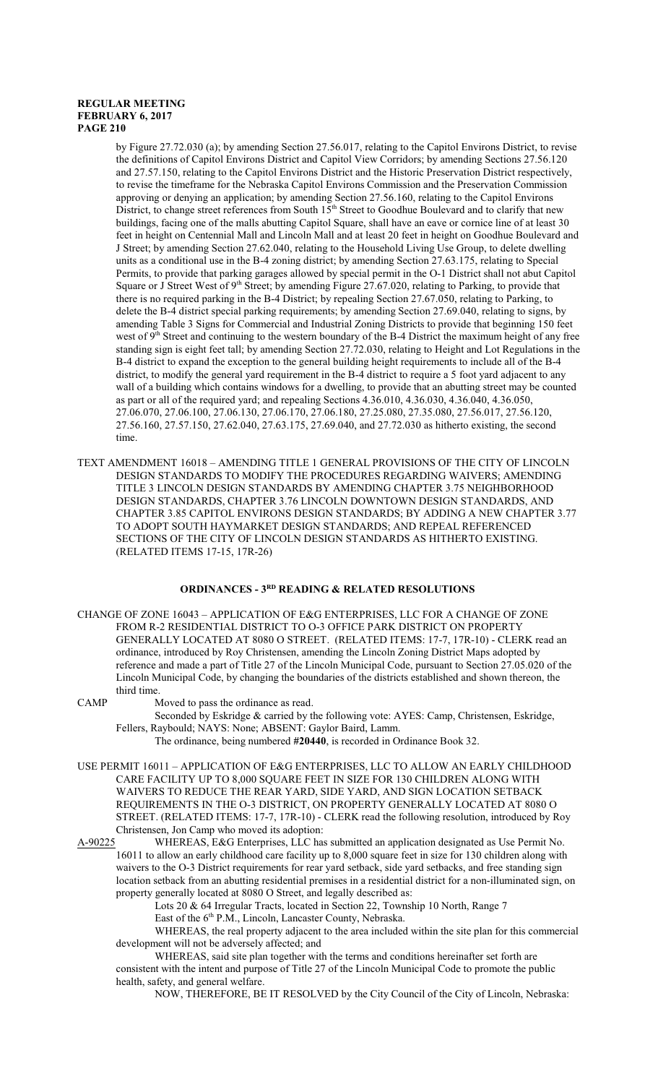by Figure 27.72.030 (a); by amending Section 27.56.017, relating to the Capitol Environs District, to revise the definitions of Capitol Environs District and Capitol View Corridors; by amending Sections 27.56.120 and 27.57.150, relating to the Capitol Environs District and the Historic Preservation District respectively, to revise the timeframe for the Nebraska Capitol Environs Commission and the Preservation Commission approving or denying an application; by amending Section 27.56.160, relating to the Capitol Environs District, to change street references from South 15<sup>th</sup> Street to Goodhue Boulevard and to clarify that new buildings, facing one of the malls abutting Capitol Square, shall have an eave or cornice line of at least 30 feet in height on Centennial Mall and Lincoln Mall and at least 20 feet in height on Goodhue Boulevard and J Street; by amending Section 27.62.040, relating to the Household Living Use Group, to delete dwelling units as a conditional use in the B-4 zoning district; by amending Section 27.63.175, relating to Special Permits, to provide that parking garages allowed by special permit in the O-1 District shall not abut Capitol Square or J Street West of 9<sup>th</sup> Street; by amending Figure 27.67.020, relating to Parking, to provide that there is no required parking in the B-4 District; by repealing Section 27.67.050, relating to Parking, to delete the B-4 district special parking requirements; by amending Section 27.69.040, relating to signs, by amending Table 3 Signs for Commercial and Industrial Zoning Districts to provide that beginning 150 feet west of 9<sup>th</sup> Street and continuing to the western boundary of the B-4 District the maximum height of any free standing sign is eight feet tall; by amending Section 27.72.030, relating to Height and Lot Regulations in the B-4 district to expand the exception to the general building height requirements to include all of the B-4 district, to modify the general yard requirement in the B-4 district to require a 5 foot yard adjacent to any wall of a building which contains windows for a dwelling, to provide that an abutting street may be counted as part or all of the required yard; and repealing Sections 4.36.010, 4.36.030, 4.36.040, 4.36.050, 27.06.070, 27.06.100, 27.06.130, 27.06.170, 27.06.180, 27.25.080, 27.35.080, 27.56.017, 27.56.120, 27.56.160, 27.57.150, 27.62.040, 27.63.175, 27.69.040, and 27.72.030 as hitherto existing, the second time.

TEXT AMENDMENT 16018 – AMENDING TITLE 1 GENERAL PROVISIONS OF THE CITY OF LINCOLN DESIGN STANDARDS TO MODIFY THE PROCEDURES REGARDING WAIVERS; AMENDING TITLE 3 LINCOLN DESIGN STANDARDS BY AMENDING CHAPTER 3.75 NEIGHBORHOOD DESIGN STANDARDS, CHAPTER 3.76 LINCOLN DOWNTOWN DESIGN STANDARDS, AND CHAPTER 3.85 CAPITOL ENVIRONS DESIGN STANDARDS; BY ADDING A NEW CHAPTER 3.77 TO ADOPT SOUTH HAYMARKET DESIGN STANDARDS; AND REPEAL REFERENCED SECTIONS OF THE CITY OF LINCOLN DESIGN STANDARDS AS HITHERTO EXISTING. (RELATED ITEMS 17-15, 17R-26)

#### **ORDINANCES - 3RD READING & RELATED RESOLUTIONS**

CHANGE OF ZONE 16043 – APPLICATION OF E&G ENTERPRISES, LLC FOR A CHANGE OF ZONE FROM R-2 RESIDENTIAL DISTRICT TO O-3 OFFICE PARK DISTRICT ON PROPERTY GENERALLY LOCATED AT 8080 O STREET. (RELATED ITEMS: 17-7, 17R-10) - CLERK read an ordinance, introduced by Roy Christensen, amending the Lincoln Zoning District Maps adopted by reference and made a part of Title 27 of the Lincoln Municipal Code, pursuant to Section 27.05.020 of the Lincoln Municipal Code, by changing the boundaries of the districts established and shown thereon, the third time.

CAMP Moved to pass the ordinance as read.

Seconded by Eskridge & carried by the following vote: AYES: Camp, Christensen, Eskridge, Fellers, Raybould; NAYS: None; ABSENT: Gaylor Baird, Lamm.

- The ordinance, being numbered **#20440**, is recorded in Ordinance Book 32.
- USE PERMIT 16011 APPLICATION OF E&G ENTERPRISES, LLC TO ALLOW AN EARLY CHILDHOOD CARE FACILITY UP TO 8,000 SQUARE FEET IN SIZE FOR 130 CHILDREN ALONG WITH WAIVERS TO REDUCE THE REAR YARD, SIDE YARD, AND SIGN LOCATION SETBACK REQUIREMENTS IN THE O-3 DISTRICT, ON PROPERTY GENERALLY LOCATED AT 8080 O STREET. (RELATED ITEMS: 17-7, 17R-10) - CLERK read the following resolution, introduced by Roy Christensen, Jon Camp who moved its adoption:
- A-90225 WHEREAS, E&G Enterprises, LLC has submitted an application designated as Use Permit No. 16011 to allow an early childhood care facility up to 8,000 square feet in size for 130 children along with waivers to the O-3 District requirements for rear yard setback, side yard setbacks, and free standing sign location setback from an abutting residential premises in a residential district for a non-illuminated sign, on property generally located at 8080 O Street, and legally described as:

Lots 20 & 64 Irregular Tracts, located in Section 22, Township 10 North, Range 7 East of the 6<sup>th</sup> P.M., Lincoln, Lancaster County, Nebraska.

WHEREAS, the real property adjacent to the area included within the site plan for this commercial development will not be adversely affected; and

WHEREAS, said site plan together with the terms and conditions hereinafter set forth are consistent with the intent and purpose of Title 27 of the Lincoln Municipal Code to promote the public health, safety, and general welfare.

NOW, THEREFORE, BE IT RESOLVED by the City Council of the City of Lincoln, Nebraska: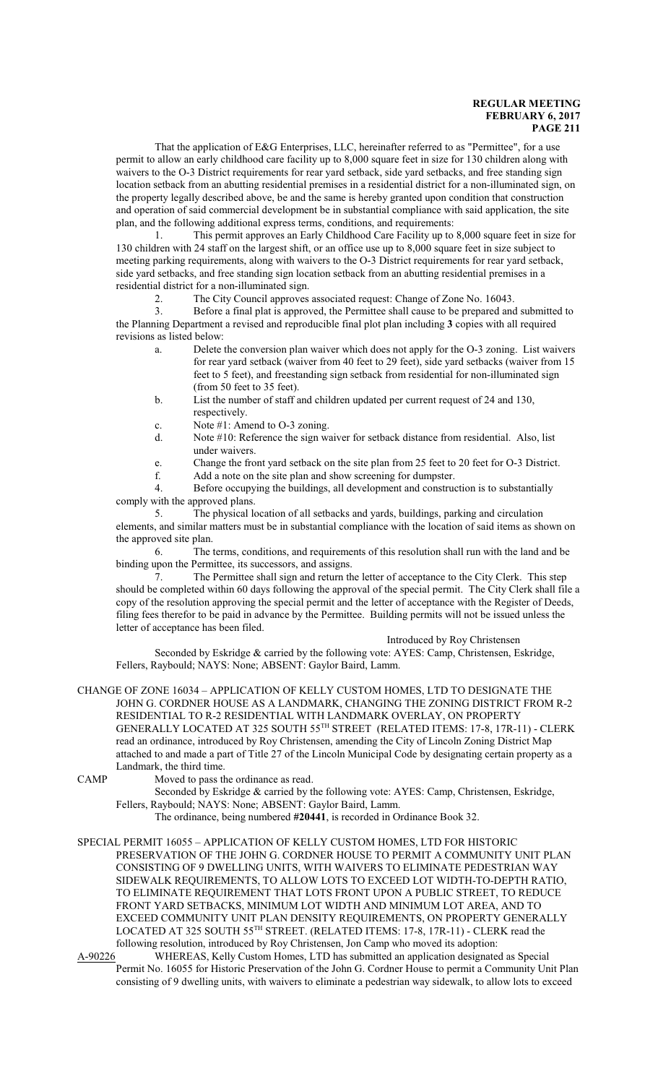That the application of E&G Enterprises, LLC, hereinafter referred to as "Permittee", for a use permit to allow an early childhood care facility up to 8,000 square feet in size for 130 children along with waivers to the O-3 District requirements for rear yard setback, side yard setbacks, and free standing sign location setback from an abutting residential premises in a residential district for a non-illuminated sign, on the property legally described above, be and the same is hereby granted upon condition that construction and operation of said commercial development be in substantial compliance with said application, the site plan, and the following additional express terms, conditions, and requirements:

1. This permit approves an Early Childhood Care Facility up to 8,000 square feet in size for 130 children with 24 staff on the largest shift, or an office use up to 8,000 square feet in size subject to meeting parking requirements, along with waivers to the O-3 District requirements for rear yard setback, side yard setbacks, and free standing sign location setback from an abutting residential premises in a residential district for a non-illuminated sign.

2. The City Council approves associated request: Change of Zone No. 16043.

3. Before a final plat is approved, the Permittee shall cause to be prepared and submitted to the Planning Department a revised and reproducible final plot plan including **3** copies with all required revisions as listed below:

- a. Delete the conversion plan waiver which does not apply for the O-3 zoning. List waivers for rear yard setback (waiver from 40 feet to 29 feet), side yard setbacks (waiver from 15 feet to 5 feet), and freestanding sign setback from residential for non-illuminated sign (from 50 feet to 35 feet).
- b. List the number of staff and children updated per current request of 24 and 130, respectively.
- c. Note #1: Amend to O-3 zoning.
- d. Note #10: Reference the sign waiver for setback distance from residential. Also, list under waivers.
- e. Change the front yard setback on the site plan from 25 feet to 20 feet for O-3 District.
- f. Add a note on the site plan and show screening for dumpster.
- 4. Before occupying the buildings, all development and construction is to substantially comply with the approved plans.

5. The physical location of all setbacks and yards, buildings, parking and circulation elements, and similar matters must be in substantial compliance with the location of said items as shown on the approved site plan.

6. The terms, conditions, and requirements of this resolution shall run with the land and be binding upon the Permittee, its successors, and assigns.

7. The Permittee shall sign and return the letter of acceptance to the City Clerk. This step should be completed within 60 days following the approval of the special permit. The City Clerk shall file a copy of the resolution approving the special permit and the letter of acceptance with the Register of Deeds, filing fees therefor to be paid in advance by the Permittee. Building permits will not be issued unless the letter of acceptance has been filed.

Introduced by Roy Christensen

Seconded by Eskridge & carried by the following vote: AYES: Camp, Christensen, Eskridge, Fellers, Raybould; NAYS: None; ABSENT: Gaylor Baird, Lamm.

CHANGE OF ZONE 16034 – APPLICATION OF KELLY CUSTOM HOMES, LTD TO DESIGNATE THE JOHN G. CORDNER HOUSE AS A LANDMARK, CHANGING THE ZONING DISTRICT FROM R-2 RESIDENTIAL TO R-2 RESIDENTIAL WITH LANDMARK OVERLAY, ON PROPERTY GENERALLY LOCATED AT 325 SOUTH 55 TH STREET (RELATED ITEMS: 17-8, 17R-11) - CLERK read an ordinance, introduced by Roy Christensen, amending the City of Lincoln Zoning District Map attached to and made a part of Title 27 of the Lincoln Municipal Code by designating certain property as a Landmark, the third time.

CAMP Moved to pass the ordinance as read.

Seconded by Eskridge & carried by the following vote: AYES: Camp, Christensen, Eskridge, Fellers, Raybould; NAYS: None; ABSENT: Gaylor Baird, Lamm.

The ordinance, being numbered **#20441**, is recorded in Ordinance Book 32.

SPECIAL PERMIT 16055 – APPLICATION OF KELLY CUSTOM HOMES, LTD FOR HISTORIC PRESERVATION OF THE JOHN G. CORDNER HOUSE TO PERMIT A COMMUNITY UNIT PLAN CONSISTING OF 9 DWELLING UNITS, WITH WAIVERS TO ELIMINATE PEDESTRIAN WAY SIDEWALK REQUIREMENTS, TO ALLOW LOTS TO EXCEED LOT WIDTH-TO-DEPTH RATIO, TO ELIMINATE REQUIREMENT THAT LOTS FRONT UPON A PUBLIC STREET, TO REDUCE FRONT YARD SETBACKS, MINIMUM LOT WIDTH AND MINIMUM LOT AREA, AND TO EXCEED COMMUNITY UNIT PLAN DENSITY REQUIREMENTS, ON PROPERTY GENERALLY LOCATED AT 325 SOUTH 55<sup>th</sup> STREET. (RELATED ITEMS: 17-8, 17R-11) - CLERK read the following resolution, introduced by Roy Christensen, Jon Camp who moved its adoption:

A-90226 WHEREAS, Kelly Custom Homes, LTD has submitted an application designated as Special Permit No. 16055 for Historic Preservation of the John G. Cordner House to permit a Community Unit Plan consisting of 9 dwelling units, with waivers to eliminate a pedestrian way sidewalk, to allow lots to exceed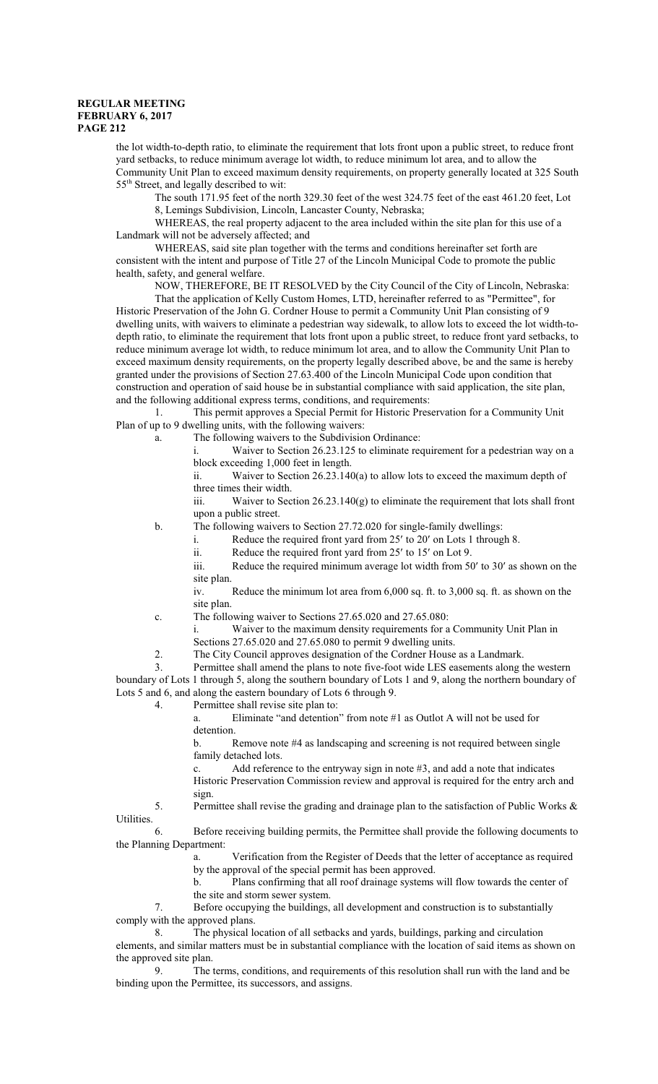the lot width-to-depth ratio, to eliminate the requirement that lots front upon a public street, to reduce front yard setbacks, to reduce minimum average lot width, to reduce minimum lot area, and to allow the Community Unit Plan to exceed maximum density requirements, on property generally located at 325 South 55<sup>th</sup> Street, and legally described to wit:

The south 171.95 feet of the north 329.30 feet of the west 324.75 feet of the east 461.20 feet, Lot 8, Lemings Subdivision, Lincoln, Lancaster County, Nebraska;

WHEREAS, the real property adjacent to the area included within the site plan for this use of a Landmark will not be adversely affected; and

WHEREAS, said site plan together with the terms and conditions hereinafter set forth are consistent with the intent and purpose of Title 27 of the Lincoln Municipal Code to promote the public health, safety, and general welfare.

NOW, THEREFORE, BE IT RESOLVED by the City Council of the City of Lincoln, Nebraska: That the application of Kelly Custom Homes, LTD, hereinafter referred to as "Permittee", for Historic Preservation of the John G. Cordner House to permit a Community Unit Plan consisting of 9 dwelling units, with waivers to eliminate a pedestrian way sidewalk, to allow lots to exceed the lot width-todepth ratio, to eliminate the requirement that lots front upon a public street, to reduce front yard setbacks, to reduce minimum average lot width, to reduce minimum lot area, and to allow the Community Unit Plan to exceed maximum density requirements, on the property legally described above, be and the same is hereby granted under the provisions of Section 27.63.400 of the Lincoln Municipal Code upon condition that construction and operation of said house be in substantial compliance with said application, the site plan, and the following additional express terms, conditions, and requirements:

1. This permit approves a Special Permit for Historic Preservation for a Community Unit Plan of up to 9 dwelling units, with the following waivers:

a. The following waivers to the Subdivision Ordinance:

i. Waiver to Section 26.23.125 to eliminate requirement for a pedestrian way on a block exceeding 1,000 feet in length.

ii. Waiver to Section 26.23.140(a) to allow lots to exceed the maximum depth of three times their width.

iii. Waiver to Section 26.23.140(g) to eliminate the requirement that lots shall front upon a public street.

b. The following waivers to Section 27.72.020 for single-family dwellings:

- i. Reduce the required front yard from 25' to 20' on Lots 1 through 8.
- ii. Reduce the required front yard from 25' to 15' on Lot 9.

iii. Reduce the required minimum average lot width from 50' to 30' as shown on the site plan.

iv. Reduce the minimum lot area from 6,000 sq. ft. to 3,000 sq. ft. as shown on the site plan.

c. The following waiver to Sections 27.65.020 and 27.65.080:

i. Waiver to the maximum density requirements for a Community Unit Plan in Sections 27.65.020 and 27.65.080 to permit 9 dwelling units.

2. The City Council approves designation of the Cordner House as a Landmark.

3. Permittee shall amend the plans to note five-foot wide LES easements along the western boundary of Lots 1 through 5, along the southern boundary of Lots 1 and 9, along the northern boundary of Lots 5 and 6, and along the eastern boundary of Lots 6 through 9.

4. Permittee shall revise site plan to:

a. Eliminate "and detention" from note #1 as Outlot A will not be used for detention.

b. Remove note #4 as landscaping and screening is not required between single family detached lots.

c. Add reference to the entryway sign in note #3, and add a note that indicates Historic Preservation Commission review and approval is required for the entry arch and

sign.

5. Permittee shall revise the grading and drainage plan to the satisfaction of Public Works & Utilities.

6. Before receiving building permits, the Permittee shall provide the following documents to the Planning Department:

> a. Verification from the Register of Deeds that the letter of acceptance as required by the approval of the special permit has been approved.<br>b. Plans confirming that all roof drainage systems

Plans confirming that all roof drainage systems will flow towards the center of the site and storm sewer system.

7. Before occupying the buildings, all development and construction is to substantially comply with the approved plans.

8. The physical location of all setbacks and yards, buildings, parking and circulation elements, and similar matters must be in substantial compliance with the location of said items as shown on the approved site plan.<br>9. The t

9. The terms, conditions, and requirements of this resolution shall run with the land and be binding upon the Permittee, its successors, and assigns.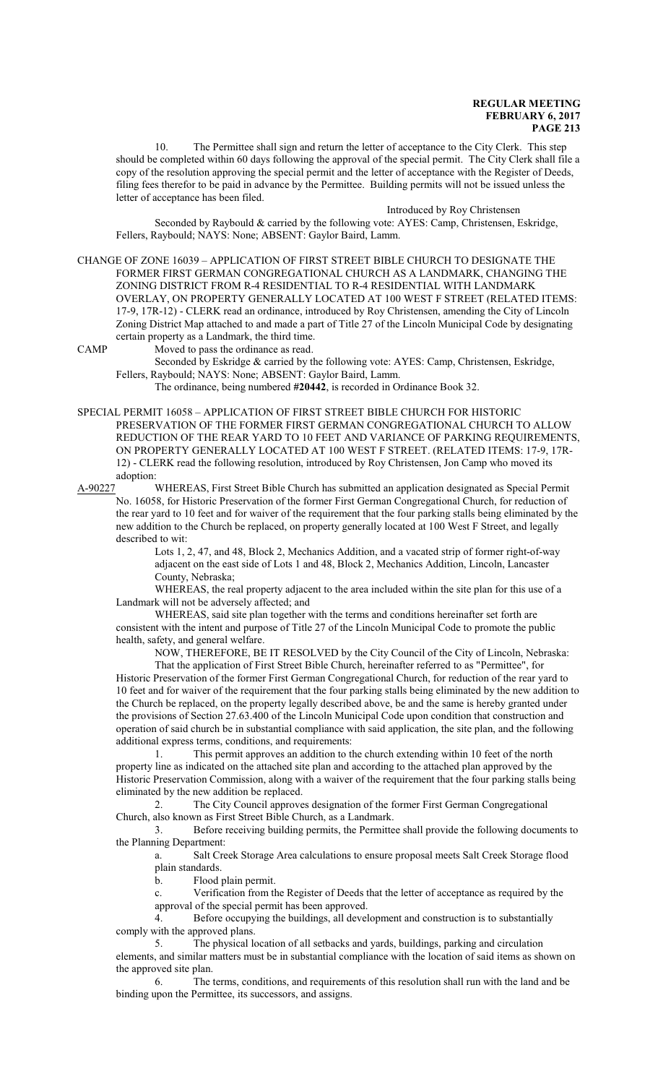10. The Permittee shall sign and return the letter of acceptance to the City Clerk. This step should be completed within 60 days following the approval of the special permit. The City Clerk shall file a copy of the resolution approving the special permit and the letter of acceptance with the Register of Deeds, filing fees therefor to be paid in advance by the Permittee. Building permits will not be issued unless the letter of acceptance has been filed.

#### Introduced by Roy Christensen

Seconded by Raybould & carried by the following vote: AYES: Camp, Christensen, Eskridge, Fellers, Raybould; NAYS: None; ABSENT: Gaylor Baird, Lamm.

CHANGE OF ZONE 16039 – APPLICATION OF FIRST STREET BIBLE CHURCH TO DESIGNATE THE FORMER FIRST GERMAN CONGREGATIONAL CHURCH AS A LANDMARK, CHANGING THE ZONING DISTRICT FROM R-4 RESIDENTIAL TO R-4 RESIDENTIAL WITH LANDMARK OVERLAY, ON PROPERTY GENERALLY LOCATED AT 100 WEST F STREET (RELATED ITEMS: 17-9, 17R-12) - CLERK read an ordinance, introduced by Roy Christensen, amending the City of Lincoln Zoning District Map attached to and made a part of Title 27 of the Lincoln Municipal Code by designating certain property as a Landmark, the third time.

CAMP Moved to pass the ordinance as read.

Seconded by Eskridge & carried by the following vote: AYES: Camp, Christensen, Eskridge, Fellers, Raybould; NAYS: None; ABSENT: Gaylor Baird, Lamm.

The ordinance, being numbered **#20442**, is recorded in Ordinance Book 32.

SPECIAL PERMIT 16058 – APPLICATION OF FIRST STREET BIBLE CHURCH FOR HISTORIC PRESERVATION OF THE FORMER FIRST GERMAN CONGREGATIONAL CHURCH TO ALLOW REDUCTION OF THE REAR YARD TO 10 FEET AND VARIANCE OF PARKING REQUIREMENTS, ON PROPERTY GENERALLY LOCATED AT 100 WEST F STREET. (RELATED ITEMS: 17-9, 17R-12) - CLERK read the following resolution, introduced by Roy Christensen, Jon Camp who moved its adoption:

A-90227 WHEREAS, First Street Bible Church has submitted an application designated as Special Permit No. 16058, for Historic Preservation of the former First German Congregational Church, for reduction of the rear yard to 10 feet and for waiver of the requirement that the four parking stalls being eliminated by the new addition to the Church be replaced, on property generally located at 100 West F Street, and legally described to wit:

> Lots 1, 2, 47, and 48, Block 2, Mechanics Addition, and a vacated strip of former right-of-way adjacent on the east side of Lots 1 and 48, Block 2, Mechanics Addition, Lincoln, Lancaster County, Nebraska;

WHEREAS, the real property adjacent to the area included within the site plan for this use of a Landmark will not be adversely affected; and

WHEREAS, said site plan together with the terms and conditions hereinafter set forth are consistent with the intent and purpose of Title 27 of the Lincoln Municipal Code to promote the public health, safety, and general welfare.

NOW, THEREFORE, BE IT RESOLVED by the City Council of the City of Lincoln, Nebraska:

That the application of First Street Bible Church, hereinafter referred to as "Permittee", for Historic Preservation of the former First German Congregational Church, for reduction of the rear yard to 10 feet and for waiver of the requirement that the four parking stalls being eliminated by the new addition to the Church be replaced, on the property legally described above, be and the same is hereby granted under the provisions of Section 27.63.400 of the Lincoln Municipal Code upon condition that construction and operation of said church be in substantial compliance with said application, the site plan, and the following additional express terms, conditions, and requirements:

1. This permit approves an addition to the church extending within 10 feet of the north property line as indicated on the attached site plan and according to the attached plan approved by the Historic Preservation Commission, along with a waiver of the requirement that the four parking stalls being eliminated by the new addition be replaced.

2. The City Council approves designation of the former First German Congregational Church, also known as First Street Bible Church, as a Landmark.

3. Before receiving building permits, the Permittee shall provide the following documents to the Planning Department:

a. Salt Creek Storage Area calculations to ensure proposal meets Salt Creek Storage flood plain standards.

b. Flood plain permit.

c. Verification from the Register of Deeds that the letter of acceptance as required by the approval of the special permit has been approved.

4. Before occupying the buildings, all development and construction is to substantially comply with the approved plans.

5. The physical location of all setbacks and yards, buildings, parking and circulation elements, and similar matters must be in substantial compliance with the location of said items as shown on the approved site plan.

6. The terms, conditions, and requirements of this resolution shall run with the land and be binding upon the Permittee, its successors, and assigns.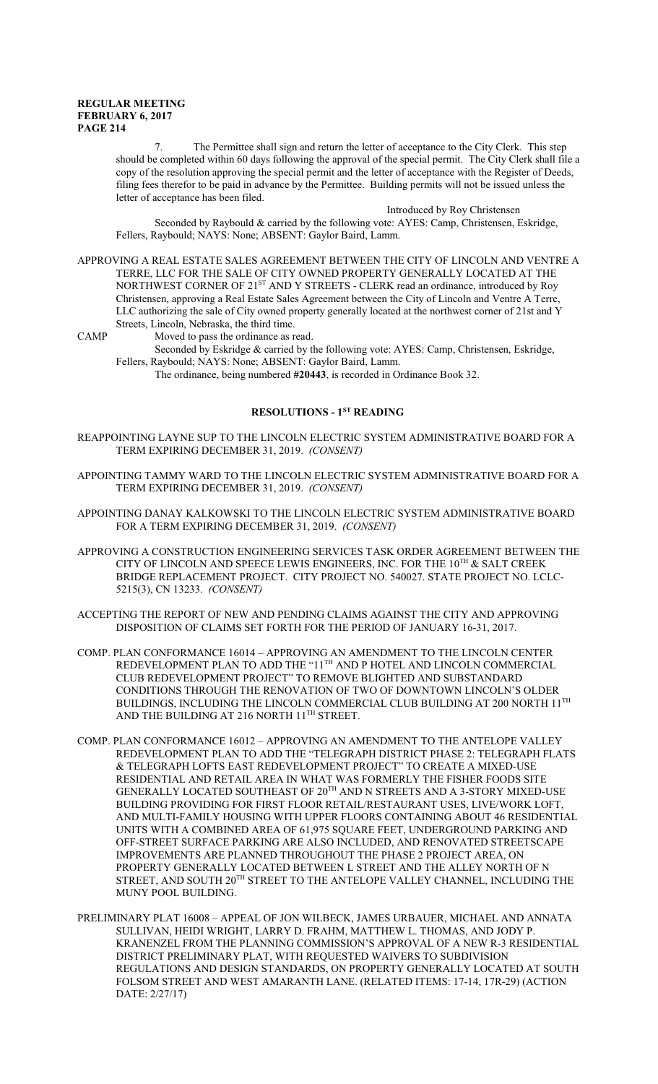7. The Permittee shall sign and return the letter of acceptance to the City Clerk. This step should be completed within 60 days following the approval of the special permit. The City Clerk shall file a copy of the resolution approving the special permit and the letter of acceptance with the Register of Deeds, filing fees therefor to be paid in advance by the Permittee. Building permits will not be issued unless the letter of acceptance has been filed.

Introduced by Roy Christensen

Seconded by Raybould & carried by the following vote: AYES: Camp, Christensen, Eskridge, Fellers, Raybould; NAYS: None; ABSENT: Gaylor Baird, Lamm.

APPROVING A REAL ESTATE SALES AGREEMENT BETWEEN THE CITY OF LINCOLN AND VENTRE A TERRE, LLC FOR THE SALE OF CITY OWNED PROPERTY GENERALLY LOCATED AT THE NORTHWEST CORNER OF 21<sup>ST</sup> AND Y STREETS - CLERK read an ordinance, introduced by Roy Christensen, approving a Real Estate Sales Agreement between the City of Lincoln and Ventre A Terre, LLC authorizing the sale of City owned property generally located at the northwest corner of 21st and Y Streets, Lincoln, Nebraska, the third time.

CAMP Moved to pass the ordinance as read.

Seconded by Eskridge & carried by the following vote: AYES: Camp, Christensen, Eskridge, Fellers, Raybould; NAYS: None; ABSENT: Gaylor Baird, Lamm.

The ordinance, being numbered **#20443**, is recorded in Ordinance Book 32.

### **RESOLUTIONS - 1ST READING**

- REAPPOINTING LAYNE SUP TO THE LINCOLN ELECTRIC SYSTEM ADMINISTRATIVE BOARD FOR A TERM EXPIRING DECEMBER 31, 2019. *(CONSENT)*
- APPOINTING TAMMY WARD TO THE LINCOLN ELECTRIC SYSTEM ADMINISTRATIVE BOARD FOR A TERM EXPIRING DECEMBER 31, 2019. *(CONSENT)*
- APPOINTING DANAY KALKOWSKI TO THE LINCOLN ELECTRIC SYSTEM ADMINISTRATIVE BOARD FOR A TERM EXPIRING DECEMBER 31, 2019. *(CONSENT)*
- APPROVING A CONSTRUCTION ENGINEERING SERVICES TASK ORDER AGREEMENT BETWEEN THE CITY OF LINCOLN AND SPEECE LEWIS ENGINEERS, INC. FOR THE  $10^{\text{TH}}$  & SALT CREEK BRIDGE REPLACEMENT PROJECT. CITY PROJECT NO. 540027. STATE PROJECT NO. LCLC-5215(3), CN 13233. *(CONSENT)*
- ACCEPTING THE REPORT OF NEW AND PENDING CLAIMS AGAINST THE CITY AND APPROVING DISPOSITION OF CLAIMS SET FORTH FOR THE PERIOD OF JANUARY 16-31, 2017.
- COMP. PLAN CONFORMANCE 16014 APPROVING AN AMENDMENT TO THE LINCOLN CENTER REDEVELOPMENT PLAN TO ADD THE " $11^{\rm TH}$  AND P HOTEL AND LINCOLN COMMERCIAL CLUB REDEVELOPMENT PROJECT" TO REMOVE BLIGHTED AND SUBSTANDARD CONDITIONS THROUGH THE RENOVATION OF TWO OF DOWNTOWN LINCOLN'S OLDER BUILDINGS, INCLUDING THE LINCOLN COMMERCIAL CLUB BUILDING AT 200 NORTH 11 $^{\rm TH}$ AND THE BUILDING AT 216 NORTH  $11^{\text{TH}}$  STREET.
- COMP. PLAN CONFORMANCE 16012 APPROVING AN AMENDMENT TO THE ANTELOPE VALLEY REDEVELOPMENT PLAN TO ADD THE "TELEGRAPH DISTRICT PHASE 2: TELEGRAPH FLATS & TELEGRAPH LOFTS EAST REDEVELOPMENT PROJECT" TO CREATE A MIXED-USE RESIDENTIAL AND RETAIL AREA IN WHAT WAS FORMERLY THE FISHER FOODS SITE GENERALLY LOCATED SOUTHEAST OF 20 TH AND N STREETS AND A 3-STORY MIXED-USE BUILDING PROVIDING FOR FIRST FLOOR RETAIL/RESTAURANT USES, LIVE/WORK LOFT, AND MULTI-FAMILY HOUSING WITH UPPER FLOORS CONTAINING ABOUT 46 RESIDENTIAL UNITS WITH A COMBINED AREA OF 61,975 SQUARE FEET, UNDERGROUND PARKING AND OFF-STREET SURFACE PARKING ARE ALSO INCLUDED, AND RENOVATED STREETSCAPE IMPROVEMENTS ARE PLANNED THROUGHOUT THE PHASE 2 PROJECT AREA, ON PROPERTY GENERALLY LOCATED BETWEEN L STREET AND THE ALLEY NORTH OF N STREET, AND SOUTH  $20^{\rm TH}$  STREET TO THE ANTELOPE VALLEY CHANNEL, INCLUDING THE MUNY POOL BUILDING.
- PRELIMINARY PLAT 16008 APPEAL OF JON WILBECK, JAMES URBAUER, MICHAEL AND ANNATA SULLIVAN, HEIDI WRIGHT, LARRY D. FRAHM, MATTHEW L. THOMAS, AND JODY P. KRANENZEL FROM THE PLANNING COMMISSION'S APPROVAL OF A NEW R-3 RESIDENTIAL DISTRICT PRELIMINARY PLAT, WITH REQUESTED WAIVERS TO SUBDIVISION REGULATIONS AND DESIGN STANDARDS, ON PROPERTY GENERALLY LOCATED AT SOUTH FOLSOM STREET AND WEST AMARANTH LANE. (RELATED ITEMS: 17-14, 17R-29) (ACTION DATE: 2/27/17)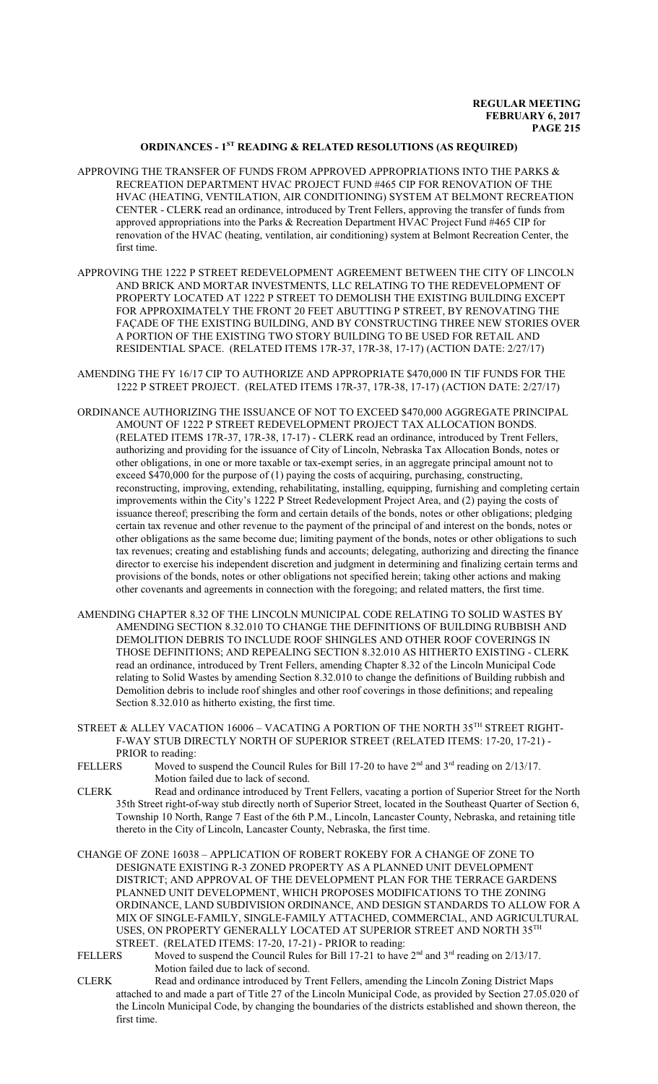### **ORDINANCES - 1ST READING & RELATED RESOLUTIONS (AS REQUIRED)**

- APPROVING THE TRANSFER OF FUNDS FROM APPROVED APPROPRIATIONS INTO THE PARKS  $\&$ RECREATION DEPARTMENT HVAC PROJECT FUND #465 CIP FOR RENOVATION OF THE HVAC (HEATING, VENTILATION, AIR CONDITIONING) SYSTEM AT BELMONT RECREATION CENTER - CLERK read an ordinance, introduced by Trent Fellers, approving the transfer of funds from approved appropriations into the Parks & Recreation Department HVAC Project Fund #465 CIP for renovation of the HVAC (heating, ventilation, air conditioning) system at Belmont Recreation Center, the first time.
- APPROVING THE 1222 P STREET REDEVELOPMENT AGREEMENT BETWEEN THE CITY OF LINCOLN AND BRICK AND MORTAR INVESTMENTS, LLC RELATING TO THE REDEVELOPMENT OF PROPERTY LOCATED AT 1222 P STREET TO DEMOLISH THE EXISTING BUILDING EXCEPT FOR APPROXIMATELY THE FRONT 20 FEET ABUTTING P STREET, BY RENOVATING THE FAÇADE OF THE EXISTING BUILDING, AND BY CONSTRUCTING THREE NEW STORIES OVER A PORTION OF THE EXISTING TWO STORY BUILDING TO BE USED FOR RETAIL AND RESIDENTIAL SPACE. (RELATED ITEMS 17R-37, 17R-38, 17-17) (ACTION DATE: 2/27/17)
- AMENDING THE FY 16/17 CIP TO AUTHORIZE AND APPROPRIATE \$470,000 IN TIF FUNDS FOR THE 1222 P STREET PROJECT. (RELATED ITEMS 17R-37, 17R-38, 17-17) (ACTION DATE: 2/27/17)
- ORDINANCE AUTHORIZING THE ISSUANCE OF NOT TO EXCEED \$470,000 AGGREGATE PRINCIPAL AMOUNT OF 1222 P STREET REDEVELOPMENT PROJECT TAX ALLOCATION BONDS. (RELATED ITEMS 17R-37, 17R-38, 17-17) - CLERK read an ordinance, introduced by Trent Fellers, authorizing and providing for the issuance of City of Lincoln, Nebraska Tax Allocation Bonds, notes or other obligations, in one or more taxable or tax-exempt series, in an aggregate principal amount not to exceed \$470,000 for the purpose of (1) paying the costs of acquiring, purchasing, constructing, reconstructing, improving, extending, rehabilitating, installing, equipping, furnishing and completing certain improvements within the City's 1222 P Street Redevelopment Project Area, and (2) paying the costs of issuance thereof; prescribing the form and certain details of the bonds, notes or other obligations; pledging certain tax revenue and other revenue to the payment of the principal of and interest on the bonds, notes or other obligations as the same become due; limiting payment of the bonds, notes or other obligations to such tax revenues; creating and establishing funds and accounts; delegating, authorizing and directing the finance director to exercise his independent discretion and judgment in determining and finalizing certain terms and provisions of the bonds, notes or other obligations not specified herein; taking other actions and making other covenants and agreements in connection with the foregoing; and related matters, the first time.
- AMENDING CHAPTER 8.32 OF THE LINCOLN MUNICIPAL CODE RELATING TO SOLID WASTES BY AMENDING SECTION 8.32.010 TO CHANGE THE DEFINITIONS OF BUILDING RUBBISH AND DEMOLITION DEBRIS TO INCLUDE ROOF SHINGLES AND OTHER ROOF COVERINGS IN THOSE DEFINITIONS; AND REPEALING SECTION 8.32.010 AS HITHERTO EXISTING - CLERK read an ordinance, introduced by Trent Fellers, amending Chapter 8.32 of the Lincoln Municipal Code relating to Solid Wastes by amending Section 8.32.010 to change the definitions of Building rubbish and Demolition debris to include roof shingles and other roof coverings in those definitions; and repealing Section 8.32.010 as hitherto existing, the first time.
- STREET & ALLEY VACATION 16006 VACATING A PORTION OF THE NORTH 35 $^{\text{\tiny{\textsf{TH}}}}$  STREET RIGHT-F-WAY STUB DIRECTLY NORTH OF SUPERIOR STREET (RELATED ITEMS: 17-20, 17-21) - PRIOR to reading:
- FELLERS Moved to suspend the Council Rules for Bill 17-20 to have  $2<sup>nd</sup>$  and  $3<sup>rd</sup>$  reading on  $2/13/17$ . Motion failed due to lack of second.
- CLERK Read and ordinance introduced by Trent Fellers, vacating a portion of Superior Street for the North 35th Street right-of-way stub directly north of Superior Street, located in the Southeast Quarter of Section 6, Township 10 North, Range 7 East of the 6th P.M., Lincoln, Lancaster County, Nebraska, and retaining title thereto in the City of Lincoln, Lancaster County, Nebraska, the first time.
- CHANGE OF ZONE 16038 APPLICATION OF ROBERT ROKEBY FOR A CHANGE OF ZONE TO DESIGNATE EXISTING R-3 ZONED PROPERTY AS A PLANNED UNIT DEVELOPMENT DISTRICT; AND APPROVAL OF THE DEVELOPMENT PLAN FOR THE TERRACE GARDENS PLANNED UNIT DEVELOPMENT, WHICH PROPOSES MODIFICATIONS TO THE ZONING ORDINANCE, LAND SUBDIVISION ORDINANCE, AND DESIGN STANDARDS TO ALLOW FOR A MIX OF SINGLE-FAMILY, SINGLE-FAMILY ATTACHED, COMMERCIAL, AND AGRICULTURAL USES, ON PROPERTY GENERALLY LOCATED AT SUPERIOR STREET AND NORTH 35 $^{\text{\tiny{\text{TH}}}}$ STREET. (RELATED ITEMS: 17-20, 17-21) - PRIOR to reading:<br>FELLERS Moved to suspend the Council Rules for Bill 17-21 to have
- FELLERS Moved to suspend the Council Rules for Bill 17-21 to have  $2<sup>nd</sup>$  and  $3<sup>rd</sup>$  reading on 2/13/17. Motion failed due to lack of second.
- CLERK Read and ordinance introduced by Trent Fellers, amending the Lincoln Zoning District Maps attached to and made a part of Title 27 of the Lincoln Municipal Code, as provided by Section 27.05.020 of the Lincoln Municipal Code, by changing the boundaries of the districts established and shown thereon, the first time.